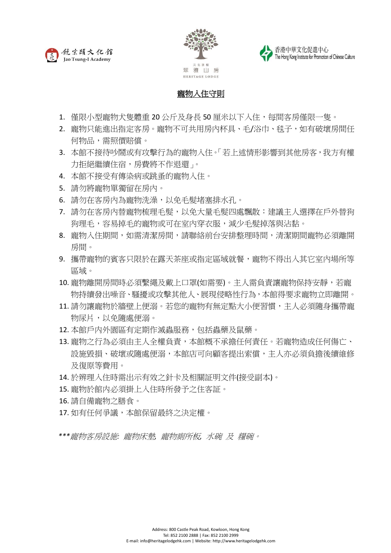





## 寵物入住守則

- 1. 僅限小型寵物犬隻體重 20 公斤及身長 50 厘米以下入住,每間客房僅限一隻。
- 2. 寵物只能進出指定客房。寵物不可共用房內杯具、毛/浴巾、毯子,如有破壞房間任 何物品,需照價賠償。
- 3. 本館不接待吵鬧或有攻擊行為的寵物入住。「若上述情形影響到其他房客,我方有權 力拒絕繼續住宿,房費將不作退還」。
- 4. 本館不接受有傳染病或跳蚤的寵物入住。
- 5. 請勿將寵物單獨留在房內。
- 6. 請勿在客房內為寵物洗澡,以免毛髮堵塞排水孔。
- 7. 請勿在客房內替寵物梳理毛髮,以免大量毛髮四處飄散:建議主人選擇在戶外替狗 狗理毛,容易掉毛的寵物或可在室內穿衣服,減少毛髮掉落與沾黏。
- 8. 寵物入住期間,如需清潔房間,請聯絡前台安排整理時間,清潔期間寵物必須離開 房間。
- 9. 攜帶寵物的賓客只限於在露天茶座或指定區域就餐,寵物不得出入其它室內場所等 區域。
- 10. 寵物離開房間時必須繫繩及戴上口罩(如需要)。主人需負責讓寵物保持安靜,若寵 物持續發出噪音、騷擾或攻擊其他人、展現侵略性行為,本館得要求寵物立即離開。
- 11. 請勿讓寵物於牆壁上便溺。若您的寵物有無定點大小便習慣,主人必須隨身攜帶寵 物尿片,以免隨處便溺。
- 12. 本館戶内外園區有定期作滅蟲服務, 包括蟲藥及鼠藥。
- 13. 寵物之行為必須由主人全權負責,本館概不承擔任何責任。若寵物造成任何傷亡、 設施毀損、破壞或隨處便溺,本館店可向顧客提出索償,主人亦必須負擔後續維修 及復原等費用。
- 14. 於辨理入住時需出示有效之針卡及相關証明文件(接受副本)。
- 15. 寵物於館内必須掛上入住時所發予之住客証。
- 16. 請自備寵物之膳食。
- 17. 如有任何爭議,本館保留最終之決定權。

*\*\*\**寵物客房設施*:* 寵物床墊*,* 寵物廁所板*,* 水碗 及 糧碗。